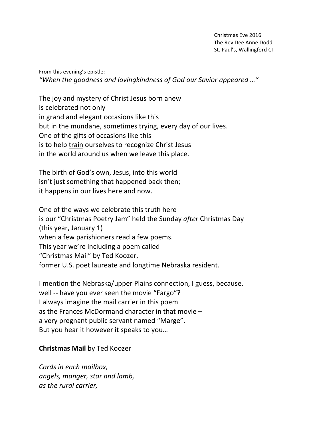Christmas Eve 2016 The Rev Dee Anne Dodd St. Paul's, Wallingford CT

From this evening's epistle: "When the goodness and lovingkindness of God our Savior appeared ..."

The joy and mystery of Christ Jesus born anew is celebrated not only in grand and elegant occasions like this but in the mundane, sometimes trying, every day of our lives. One of the gifts of occasions like this is to help train ourselves to recognize Christ Jesus in the world around us when we leave this place.

The birth of God's own, Jesus, into this world isn't just something that happened back then; it happens in our lives here and now.

One of the ways we celebrate this truth here is our "Christmas Poetry Jam" held the Sunday *after* Christmas Day (this year, January 1) when a few parishioners read a few poems. This year we're including a poem called "Christmas Mail" by Ted Koozer, former U.S. poet laureate and longtime Nebraska resident.

I mention the Nebraska/upper Plains connection, I guess, because, well -- have you ever seen the movie "Fargo"? I always imagine the mail carrier in this poem as the Frances McDormand character in that movie  $$ a very pregnant public servant named "Marge". But you hear it however it speaks to you...

## **Christmas Mail by Ted Koozer**

*Cards in each mailbox. angels, manger, star and lamb, as the rural carrier,*